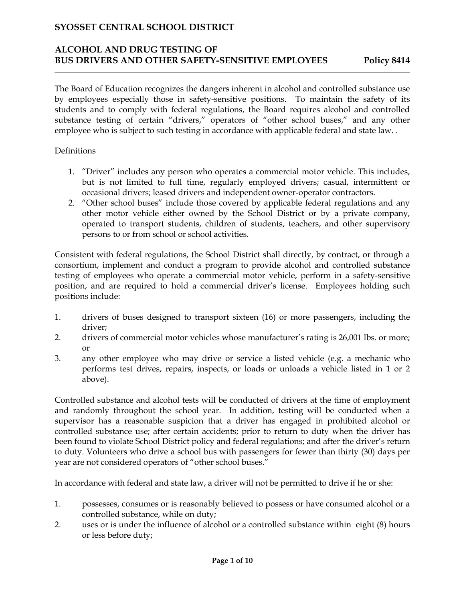### **ALCOHOL AND DRUG TESTING OF BUS DRIVERS AND OTHER SAFETY-SENSITIVE EMPLOYEES Policy 8414**

The Board of Education recognizes the dangers inherent in alcohol and controlled substance use by employees especially those in safety-sensitive positions. To maintain the safety of its students and to comply with federal regulations, the Board requires alcohol and controlled substance testing of certain "drivers," operators of "other school buses," and any other employee who is subject to such testing in accordance with applicable federal and state law...

#### Definitions

- 1. "Driver" includes any person who operates a commercial motor vehicle. This includes, but is not limited to full time, regularly employed drivers; casual, intermittent or occasional drivers; leased drivers and independent owner-operator contractors.
- 2. "Other school buses" include those covered by applicable federal regulations and any other motor vehicle either owned by the School District or by a private company, operated to transport students, children of students, teachers, and other supervisory persons to or from school or school activities.

Consistent with federal regulations, the School District shall directly, by contract, or through a consortium, implement and conduct a program to provide alcohol and controlled substance testing of employees who operate a commercial motor vehicle, perform in a safety-sensitive position, and are required to hold a commercial driver's license. Employees holding such positions include:

- 1. drivers of buses designed to transport sixteen (16) or more passengers, including the driver;
- 2. drivers of commercial motor vehicles whose manufacturer's rating is 26,001 lbs. or more; or
- 3. any other employee who may drive or service a listed vehicle (e.g. a mechanic who performs test drives, repairs, inspects, or loads or unloads a vehicle listed in 1 or 2 above).

Controlled substance and alcohol tests will be conducted of drivers at the time of employment and randomly throughout the school year. In addition, testing will be conducted when a supervisor has a reasonable suspicion that a driver has engaged in prohibited alcohol or controlled substance use; after certain accidents; prior to return to duty when the driver has been found to violate School District policy and federal regulations; and after the driver's return to duty. Volunteers who drive a school bus with passengers for fewer than thirty (30) days per year are not considered operators of "other school buses."

In accordance with federal and state law, a driver will not be permitted to drive if he or she:

- 1. possesses, consumes or is reasonably believed to possess or have consumed alcohol or a controlled substance, while on duty;
- 2. uses or is under the influence of alcohol or a controlled substance within eight (8) hours or less before duty;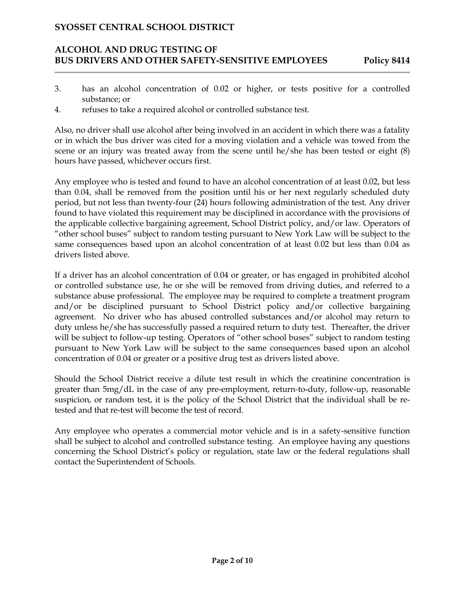### **ALCOHOL AND DRUG TESTING OF BUS DRIVERS AND OTHER SAFETY-SENSITIVE EMPLOYEES Policy 8414**

- 3. has an alcohol concentration of 0.02 or higher, or tests positive for a controlled substance; or
- 4. refuses to take a required alcohol or controlled substance test.

Also, no driver shall use alcohol after being involved in an accident in which there was a fatality or in which the bus driver was cited for a moving violation and a vehicle was towed from the scene or an injury was treated away from the scene until he/she has been tested or eight (8) hours have passed, whichever occurs first.

Any employee who is tested and found to have an alcohol concentration of at least 0.02, but less than 0.04, shall be removed from the position until his or her next regularly scheduled duty period, but not less than twenty-four (24) hours following administration of the test. Any driver found to have violated this requirement may be disciplined in accordance with the provisions of the applicable collective bargaining agreement, School District policy, and/or law. Operators of "other school buses" subject to random testing pursuant to New York Law will be subject to the same consequences based upon an alcohol concentration of at least 0.02 but less than 0.04 as drivers listed above.

If a driver has an alcohol concentration of 0.04 or greater, or has engaged in prohibited alcohol or controlled substance use, he or she will be removed from driving duties, and referred to a substance abuse professional. The employee may be required to complete a treatment program and/or be disciplined pursuant to School District policy and/or collective bargaining agreement. No driver who has abused controlled substances and/or alcohol may return to duty unless he/she has successfully passed a required return to duty test. Thereafter, the driver will be subject to follow-up testing. Operators of "other school buses" subject to random testing pursuant to New York Law will be subject to the same consequences based upon an alcohol concentration of 0.04 or greater or a positive drug test as drivers listed above.

Should the School District receive a dilute test result in which the creatinine concentration is greater than 5mg/dL in the case of any pre-employment, return-to-duty, follow-up, reasonable suspicion, or random test, it is the policy of the School District that the individual shall be retested and that re-test will become the test of record.

Any employee who operates a commercial motor vehicle and is in a safety-sensitive function shall be subject to alcohol and controlled substance testing. An employee having any questions concerning the School District's policy or regulation, state law or the federal regulations shall contact the Superintendent of Schools.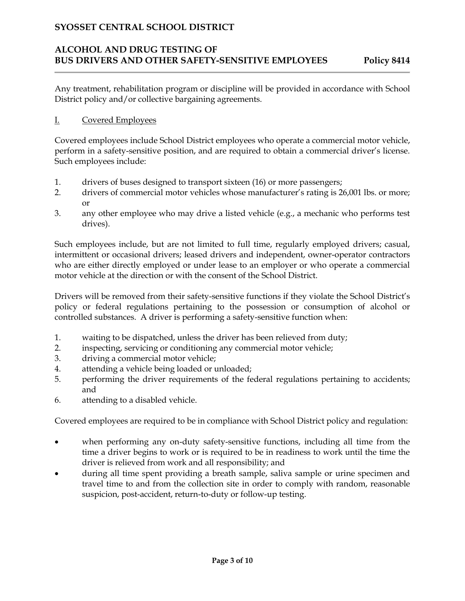# **ALCOHOL AND DRUG TESTING OF BUS DRIVERS AND OTHER SAFETY-SENSITIVE EMPLOYEES Policy 8414**

Any treatment, rehabilitation program or discipline will be provided in accordance with School District policy and/or collective bargaining agreements.

#### I. Covered Employees

Covered employees include School District employees who operate a commercial motor vehicle, perform in a safety-sensitive position, and are required to obtain a commercial driver's license. Such employees include:

- 1. drivers of buses designed to transport sixteen (16) or more passengers;
- 2. drivers of commercial motor vehicles whose manufacturer's rating is 26,001 lbs. or more; or
- 3. any other employee who may drive a listed vehicle (e.g., a mechanic who performs test drives).

Such employees include, but are not limited to full time, regularly employed drivers; casual, intermittent or occasional drivers; leased drivers and independent, owner-operator contractors who are either directly employed or under lease to an employer or who operate a commercial motor vehicle at the direction or with the consent of the School District.

Drivers will be removed from their safety-sensitive functions if they violate the School District's policy or federal regulations pertaining to the possession or consumption of alcohol or controlled substances. A driver is performing a safety-sensitive function when:

- 1. waiting to be dispatched, unless the driver has been relieved from duty;
- 2. inspecting, servicing or conditioning any commercial motor vehicle;
- 3. driving a commercial motor vehicle;
- 4. attending a vehicle being loaded or unloaded;
- 5. performing the driver requirements of the federal regulations pertaining to accidents; and
- 6. attending to a disabled vehicle.

Covered employees are required to be in compliance with School District policy and regulation:

- when performing any on-duty safety-sensitive functions, including all time from the time a driver begins to work or is required to be in readiness to work until the time the driver is relieved from work and all responsibility; and
- during all time spent providing a breath sample, saliva sample or urine specimen and travel time to and from the collection site in order to comply with random, reasonable suspicion, post-accident, return-to-duty or follow-up testing.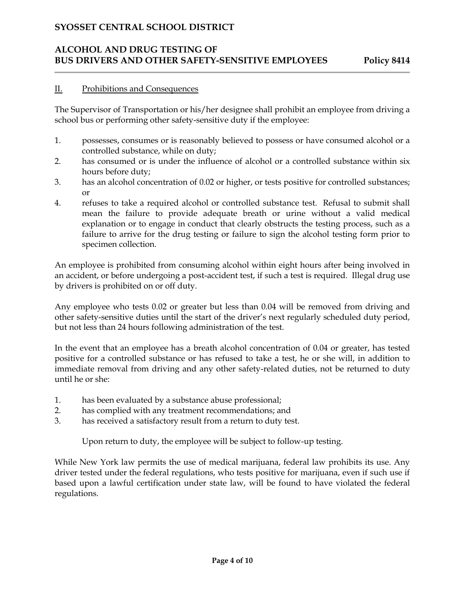# **ALCOHOL AND DRUG TESTING OF BUS DRIVERS AND OTHER SAFETY-SENSITIVE EMPLOYEES Policy 8414**

#### II. Prohibitions and Consequences

The Supervisor of Transportation or his/her designee shall prohibit an employee from driving a school bus or performing other safety-sensitive duty if the employee:

- 1. possesses, consumes or is reasonably believed to possess or have consumed alcohol or a controlled substance, while on duty;
- 2. has consumed or is under the influence of alcohol or a controlled substance within six hours before duty;
- 3. has an alcohol concentration of 0.02 or higher, or tests positive for controlled substances; or
- 4. refuses to take a required alcohol or controlled substance test. Refusal to submit shall mean the failure to provide adequate breath or urine without a valid medical explanation or to engage in conduct that clearly obstructs the testing process, such as a failure to arrive for the drug testing or failure to sign the alcohol testing form prior to specimen collection.

An employee is prohibited from consuming alcohol within eight hours after being involved in an accident, or before undergoing a post-accident test, if such a test is required. Illegal drug use by drivers is prohibited on or off duty.

Any employee who tests 0.02 or greater but less than 0.04 will be removed from driving and other safety-sensitive duties until the start of the driver's next regularly scheduled duty period, but not less than 24 hours following administration of the test.

In the event that an employee has a breath alcohol concentration of 0.04 or greater, has tested positive for a controlled substance or has refused to take a test, he or she will, in addition to immediate removal from driving and any other safety-related duties, not be returned to duty until he or she:

- 1. has been evaluated by a substance abuse professional;
- 2. has complied with any treatment recommendations; and
- 3. has received a satisfactory result from a return to duty test.

Upon return to duty, the employee will be subject to follow-up testing.

While New York law permits the use of medical marijuana, federal law prohibits its use. Any driver tested under the federal regulations, who tests positive for marijuana, even if such use if based upon a lawful certification under state law, will be found to have violated the federal regulations.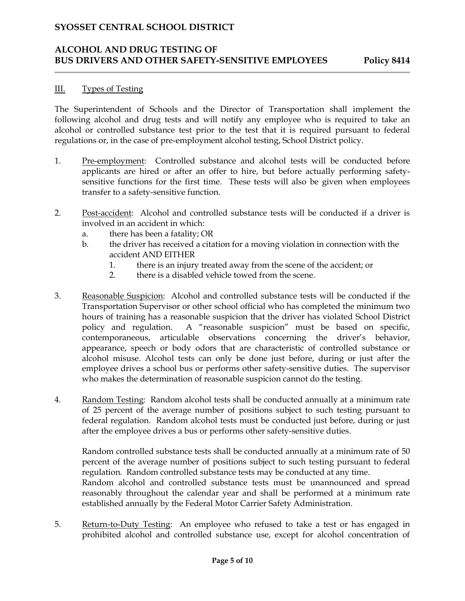#### **ALCOHOL AND DRUG TESTING OF BUS DRIVERS AND OTHER SAFETY-SENSITIVE EMPLOYEES Policy 8414**

#### III. Types of Testing

The Superintendent of Schools and the Director of Transportation shall implement the following alcohol and drug tests and will notify any employee who is required to take an alcohol or controlled substance test prior to the test that it is required pursuant to federal regulations or, in the case of pre-employment alcohol testing, School District policy.

- 1. Pre-employment: Controlled substance and alcohol tests will be conducted before applicants are hired or after an offer to hire, but before actually performing safetysensitive functions for the first time. These tests will also be given when employees transfer to a safety-sensitive function.
- 2. Post-accident: Alcohol and controlled substance tests will be conducted if a driver is involved in an accident in which:
	- a. there has been a fatality; OR
	- b. the driver has received a citation for a moving violation in connection with the accident AND EITHER
		- 1. there is an injury treated away from the scene of the accident; or
		- 2. there is a disabled vehicle towed from the scene.
- 3. Reasonable Suspicion: Alcohol and controlled substance tests will be conducted if the Transportation Supervisor or other school official who has completed the minimum two hours of training has a reasonable suspicion that the driver has violated School District policy and regulation. A "reasonable suspicion" must be based on specific, contemporaneous, articulable observations concerning the driver's behavior, appearance, speech or body odors that are characteristic of controlled substance or alcohol misuse. Alcohol tests can only be done just before, during or just after the employee drives a school bus or performs other safety-sensitive duties. The supervisor who makes the determination of reasonable suspicion cannot do the testing.
- 4. Random Testing: Random alcohol tests shall be conducted annually at a minimum rate of 25 percent of the average number of positions subject to such testing pursuant to federal regulation. Random alcohol tests must be conducted just before, during or just after the employee drives a bus or performs other safety-sensitive duties.

Random controlled substance tests shall be conducted annually at a minimum rate of 50 percent of the average number of positions subject to such testing pursuant to federal regulation. Random controlled substance tests may be conducted at any time.

Random alcohol and controlled substance tests must be unannounced and spread reasonably throughout the calendar year and shall be performed at a minimum rate established annually by the Federal Motor Carrier Safety Administration.

5. Return-to-Duty Testing: An employee who refused to take a test or has engaged in prohibited alcohol and controlled substance use, except for alcohol concentration of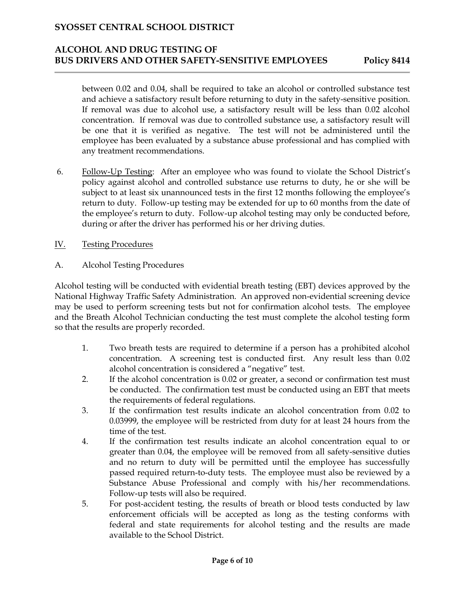#### **ALCOHOL AND DRUG TESTING OF BUS DRIVERS AND OTHER SAFETY-SENSITIVE EMPLOYEES Policy 8414**

between 0.02 and 0.04, shall be required to take an alcohol or controlled substance test and achieve a satisfactory result before returning to duty in the safety-sensitive position. If removal was due to alcohol use, a satisfactory result will be less than 0.02 alcohol concentration. If removal was due to controlled substance use, a satisfactory result will be one that it is verified as negative. The test will not be administered until the employee has been evaluated by a substance abuse professional and has complied with any treatment recommendations.

- 6. Follow-Up Testing: After an employee who was found to violate the School District's policy against alcohol and controlled substance use returns to duty, he or she will be subject to at least six unannounced tests in the first 12 months following the employee's return to duty. Follow-up testing may be extended for up to 60 months from the date of the employee's return to duty. Follow-up alcohol testing may only be conducted before, during or after the driver has performed his or her driving duties.
- IV. Testing Procedures
- A. Alcohol Testing Procedures

Alcohol testing will be conducted with evidential breath testing (EBT) devices approved by the National Highway Traffic Safety Administration. An approved non-evidential screening device may be used to perform screening tests but not for confirmation alcohol tests. The employee and the Breath Alcohol Technician conducting the test must complete the alcohol testing form so that the results are properly recorded.

- 1. Two breath tests are required to determine if a person has a prohibited alcohol concentration. A screening test is conducted first. Any result less than 0.02 alcohol concentration is considered a "negative" test.
- 2. If the alcohol concentration is 0.02 or greater, a second or confirmation test must be conducted. The confirmation test must be conducted using an EBT that meets the requirements of federal regulations.
- 3. If the confirmation test results indicate an alcohol concentration from 0.02 to 0.03999, the employee will be restricted from duty for at least 24 hours from the time of the test.
- 4. If the confirmation test results indicate an alcohol concentration equal to or greater than 0.04, the employee will be removed from all safety-sensitive duties and no return to duty will be permitted until the employee has successfully passed required return-to-duty tests. The employee must also be reviewed by a Substance Abuse Professional and comply with his/her recommendations. Follow-up tests will also be required.
- 5. For post-accident testing, the results of breath or blood tests conducted by law enforcement officials will be accepted as long as the testing conforms with federal and state requirements for alcohol testing and the results are made available to the School District.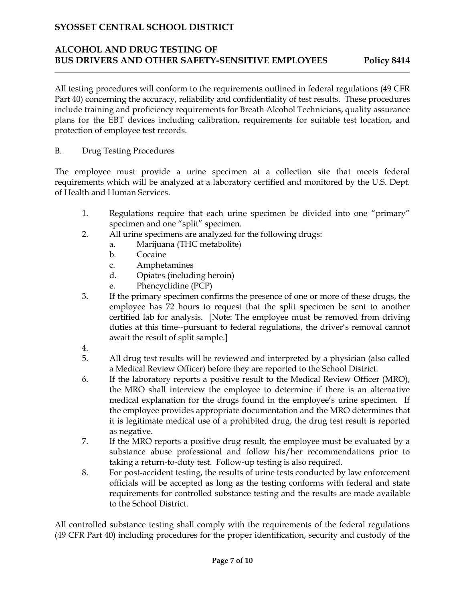### **ALCOHOL AND DRUG TESTING OF BUS DRIVERS AND OTHER SAFETY-SENSITIVE EMPLOYEES Policy 8414**

All testing procedures will conform to the requirements outlined in federal regulations (49 CFR Part 40) concerning the accuracy, reliability and confidentiality of test results. These procedures include training and proficiency requirements for Breath Alcohol Technicians, quality assurance plans for the EBT devices including calibration, requirements for suitable test location, and protection of employee test records.

B. Drug Testing Procedures

The employee must provide a urine specimen at a collection site that meets federal requirements which will be analyzed at a laboratory certified and monitored by the U.S. Dept. of Health and Human Services.

- 1. Regulations require that each urine specimen be divided into one "primary" specimen and one "split" specimen.
- 2. All urine specimens are analyzed for the following drugs:
	- a. Marijuana (THC metabolite)
	- b. Cocaine
	- c. Amphetamines
	- d. Opiates (including heroin)
	- e. Phencyclidine (PCP)
- 3. If the primary specimen confirms the presence of one or more of these drugs, the employee has 72 hours to request that the split specimen be sent to another certified lab for analysis. [Note: The employee must be removed from driving duties at this time--pursuant to federal regulations, the driver's removal cannot await the result of split sample.]
- 4.
- 5. All drug test results will be reviewed and interpreted by a physician (also called a Medical Review Officer) before they are reported to the School District.
- 6. If the laboratory reports a positive result to the Medical Review Officer (MRO), the MRO shall interview the employee to determine if there is an alternative medical explanation for the drugs found in the employee's urine specimen. If the employee provides appropriate documentation and the MRO determines that it is legitimate medical use of a prohibited drug, the drug test result is reported as negative.
- 7. If the MRO reports a positive drug result, the employee must be evaluated by a substance abuse professional and follow his/her recommendations prior to taking a return-to-duty test. Follow-up testing is also required.
- 8. For post-accident testing, the results of urine tests conducted by law enforcement officials will be accepted as long as the testing conforms with federal and state requirements for controlled substance testing and the results are made available to the School District.

All controlled substance testing shall comply with the requirements of the federal regulations (49 CFR Part 40) including procedures for the proper identification, security and custody of the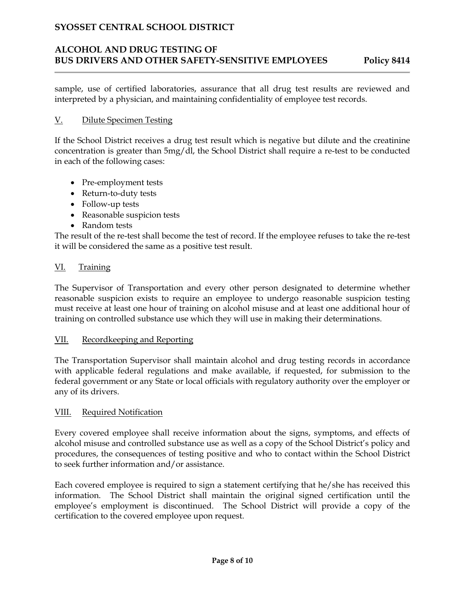# **ALCOHOL AND DRUG TESTING OF BUS DRIVERS AND OTHER SAFETY-SENSITIVE EMPLOYEES Policy 8414**

sample, use of certified laboratories, assurance that all drug test results are reviewed and interpreted by a physician, and maintaining confidentiality of employee test records.

#### V. Dilute Specimen Testing

If the School District receives a drug test result which is negative but dilute and the creatinine concentration is greater than 5mg/dl, the School District shall require a re-test to be conducted in each of the following cases:

- Pre-employment tests
- Return-to-duty tests
- Follow-up tests
- Reasonable suspicion tests
- Random tests

The result of the re-test shall become the test of record. If the employee refuses to take the re-test it will be considered the same as a positive test result.

#### VI. Training

The Supervisor of Transportation and every other person designated to determine whether reasonable suspicion exists to require an employee to undergo reasonable suspicion testing must receive at least one hour of training on alcohol misuse and at least one additional hour of training on controlled substance use which they will use in making their determinations.

#### VII. Recordkeeping and Reporting

The Transportation Supervisor shall maintain alcohol and drug testing records in accordance with applicable federal regulations and make available, if requested, for submission to the federal government or any State or local officials with regulatory authority over the employer or any of its drivers.

#### VIII. Required Notification

Every covered employee shall receive information about the signs, symptoms, and effects of alcohol misuse and controlled substance use as well as a copy of the School District's policy and procedures, the consequences of testing positive and who to contact within the School District to seek further information and/or assistance.

Each covered employee is required to sign a statement certifying that he/she has received this information. The School District shall maintain the original signed certification until the employee's employment is discontinued. The School District will provide a copy of the certification to the covered employee upon request.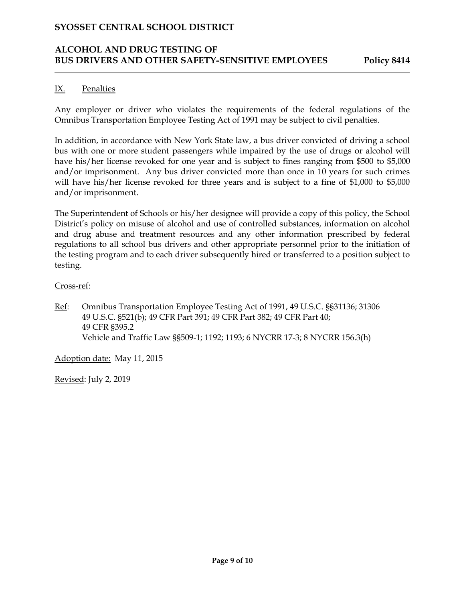### **ALCOHOL AND DRUG TESTING OF BUS DRIVERS AND OTHER SAFETY-SENSITIVE EMPLOYEES Policy 8414**

#### IX. Penalties

Any employer or driver who violates the requirements of the federal regulations of the Omnibus Transportation Employee Testing Act of 1991 may be subject to civil penalties.

In addition, in accordance with New York State law, a bus driver convicted of driving a school bus with one or more student passengers while impaired by the use of drugs or alcohol will have his/her license revoked for one year and is subject to fines ranging from \$500 to \$5,000 and/or imprisonment. Any bus driver convicted more than once in 10 years for such crimes will have his/her license revoked for three years and is subject to a fine of \$1,000 to \$5,000 and/or imprisonment.

The Superintendent of Schools or his/her designee will provide a copy of this policy, the School District's policy on misuse of alcohol and use of controlled substances, information on alcohol and drug abuse and treatment resources and any other information prescribed by federal regulations to all school bus drivers and other appropriate personnel prior to the initiation of the testing program and to each driver subsequently hired or transferred to a position subject to testing.

#### Cross-ref:

Ref: Omnibus Transportation Employee Testing Act of 1991, 49 U.S.C. §§31136; 31306 49 U.S.C. §521(b); 49 CFR Part 391; 49 CFR Part 382; 49 CFR Part 40; 49 CFR §395.2 Vehicle and Traffic Law §§509-1; 1192; 1193; 6 NYCRR 17-3; 8 NYCRR 156.3(h)

Adoption date: May 11, 2015

Revised: July 2, 2019